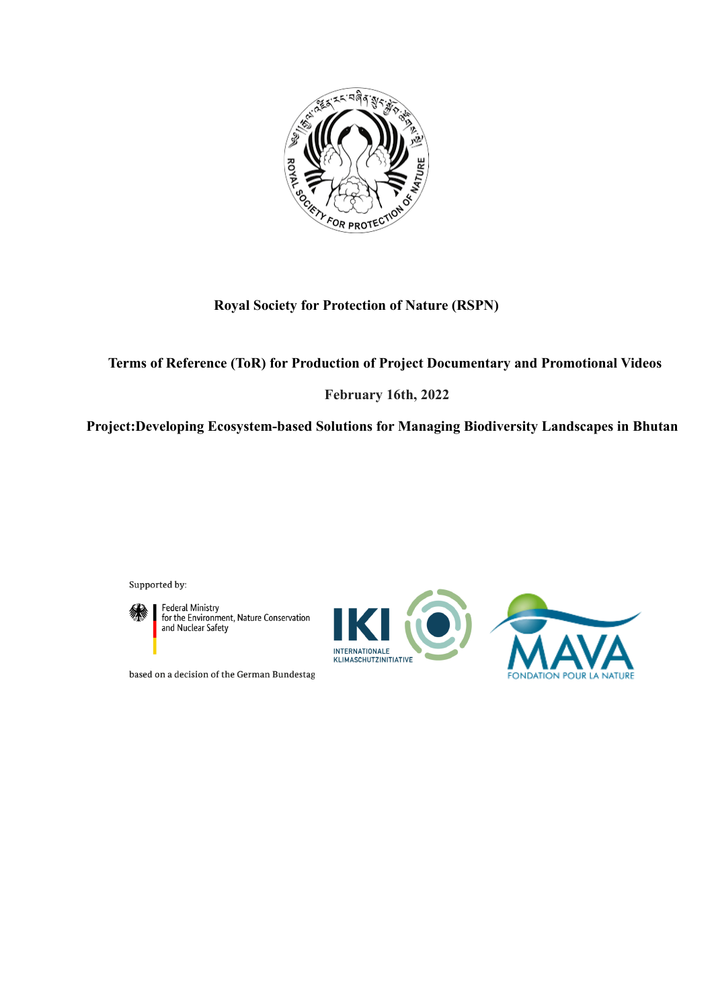

# **Royal Society for Protection of Nature (RSPN)**

# **Terms of Reference (ToR) for Production of Project Documentary and Promotional Videos**

## **February 16th, 2022**

**Project:Developing Ecosystem-based Solutions for Managing Biodiversity Landscapes in Bhutan**

Supported by:



Federal Ministry<br>for the Environment, Nature Conservation<br>and Nuclear Safety

based on a decision of the German Bundestag

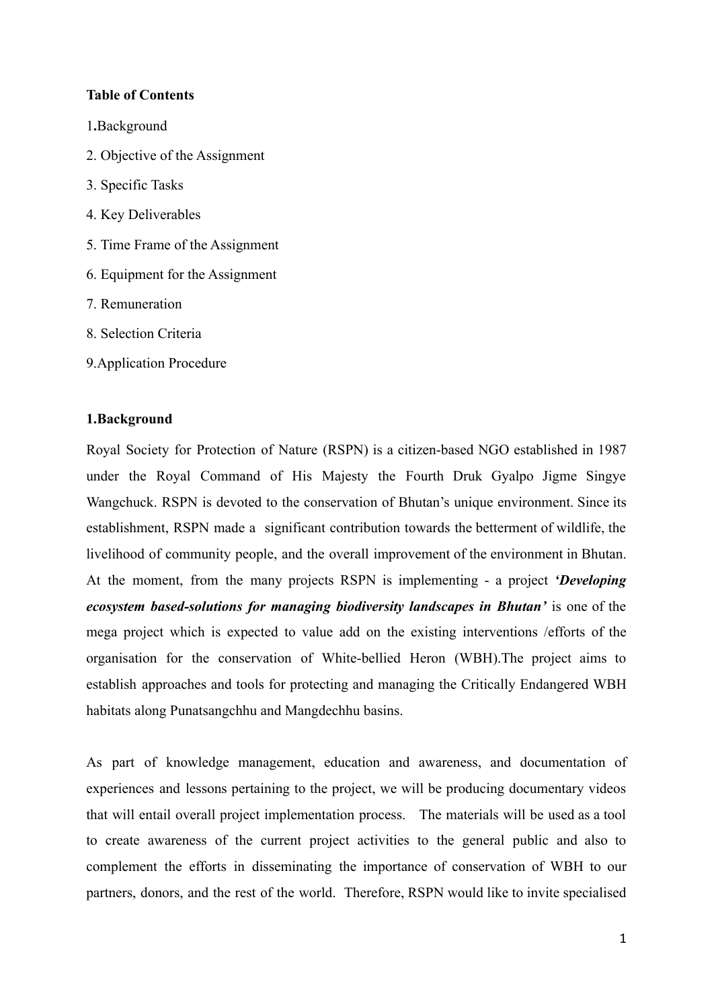#### **Table of Contents**

- 1**.**[Background](#page-1-0)
- 2. Objective of the Assignment
- 3. Specific Tasks
- 4. Key [Deliverables](#page-3-0)
- 5. [Time Frame of the Assignment](#page-4-0)
- 6. Equipment for the Assignment
- 7. [Remuneration](#page-4-1)
- 8. Selection Criteria
- 9.[Application Procedure](#page-5-0)

#### <span id="page-1-0"></span>**1.Background**

Royal Society for Protection of Nature (RSPN) is a citizen-based NGO established in 1987 under the Royal Command of His Majesty the Fourth Druk Gyalpo Jigme Singye Wangchuck. RSPN is devoted to the conservation of Bhutan's unique environment. Since its establishment, RSPN made a significant contribution towards the betterment of wildlife, the livelihood of community people, and the overall improvement of the environment in Bhutan. At the moment, from the many projects RSPN is implementing - a project *'Developing ecosystem based-solutions for managing biodiversity landscapes in Bhutan'* is one of the mega project which is expected to value add on the existing interventions /efforts of the organisation for the conservation of White-bellied Heron (WBH).The project aims to establish approaches and tools for protecting and managing the Critically Endangered WBH habitats along Punatsangchhu and Mangdechhu basins.

As part of knowledge management, education and awareness, and documentation of experiences and lessons pertaining to the project, we will be producing documentary videos that will entail overall project implementation process. The materials will be used as a tool to create awareness of the current project activities to the general public and also to complement the efforts in disseminating the importance of conservation of WBH to our partners, donors, and the rest of the world. Therefore, RSPN would like to invite specialised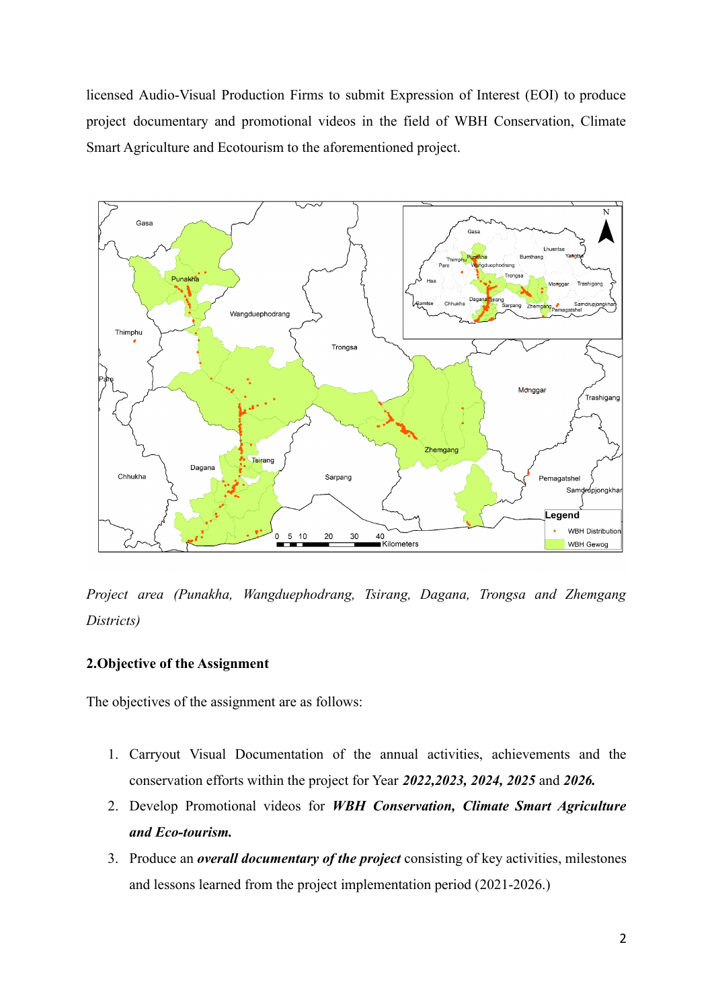licensed Audio-Visual Production Firms to submit Expression of Interest (EOI) to produce project documentary and promotional videos in the field of WBH Conservation, Climate Smart Agriculture and Ecotourism to the aforementioned project.



*Project area (Punakha, Wangduephodrang, Tsirang, Dagana, Trongsa and Zhemgang Districts)*

#### **2.Objective of the Assignment**

The objectives of the assignment are as follows:

- 1. Carryout Visual Documentation of the annual activities, achievements and the conservation efforts within the project for Year *2022,2023, 2024, 2025* and *2026.*
- 2. Develop Promotional videos for *WBH Conservation, Climate Smart Agriculture and Eco-tourism.*
- 3. Produce an *overall documentary of the project* consisting of key activities, milestones and lessons learned from the project implementation period (2021-2026.)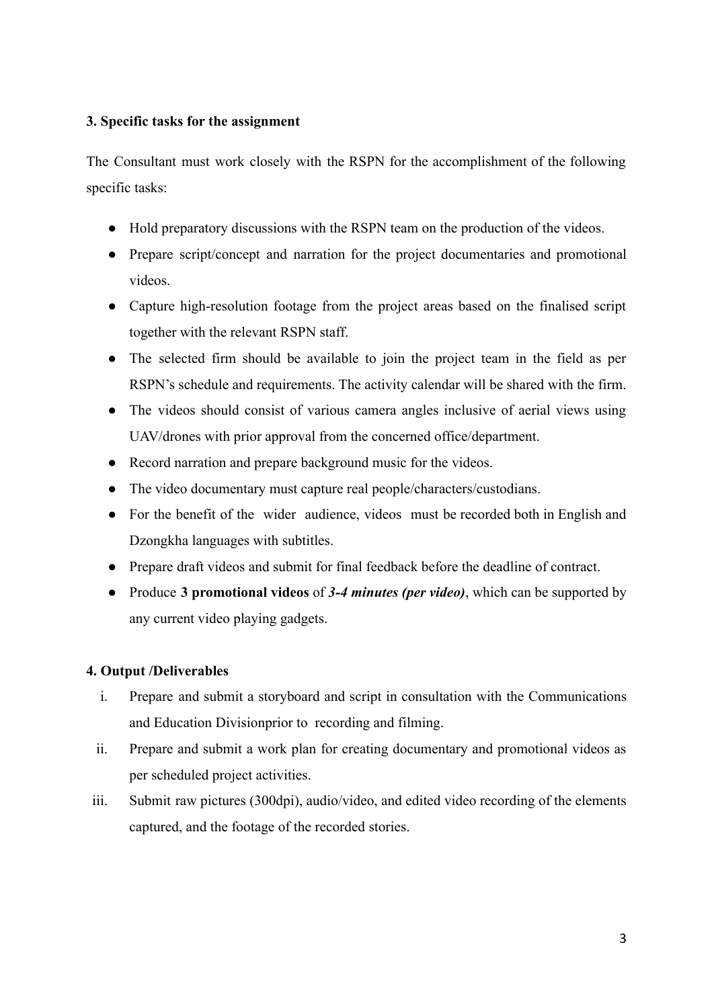## **3. Specific tasks for the assignment**

The Consultant must work closely with the RSPN for the accomplishment of the following specific tasks:

- Hold preparatory discussions with the RSPN team on the production of the videos.
- Prepare script/concept and narration for the project documentaries and promotional videos.
- Capture high-resolution footage from the project areas based on the finalised script together with the relevant RSPN staff.
- The selected firm should be available to join the project team in the field as per RSPN's schedule and requirements. The activity calendar will be shared with the firm.
- The videos should consist of various camera angles inclusive of aerial views using UAV/drones with prior approval from the concerned office/department.
- Record narration and prepare background music for the videos.
- The video documentary must capture real people/characters/custodians.
- For the benefit of the wider audience, videos must be recorded both in English and Dzongkha languages with subtitles.
- Prepare draft videos and submit for final feedback before the deadline of contract.
- Produce **3 promotional videos** of *3-4 minutes (per video)*, which can be supported by any current video playing gadgets.

#### <span id="page-3-0"></span>**4. Output /Deliverables**

- i. Prepare and submit a storyboard and script in consultation with the Communications and Education Divisionprior to recording and filming.
- ii. Prepare and submit a work plan for creating documentary and promotional videos as per scheduled project activities.
- iii. Submit raw pictures (300dpi), audio/video, and edited video recording of the elements captured, and the footage of the recorded stories.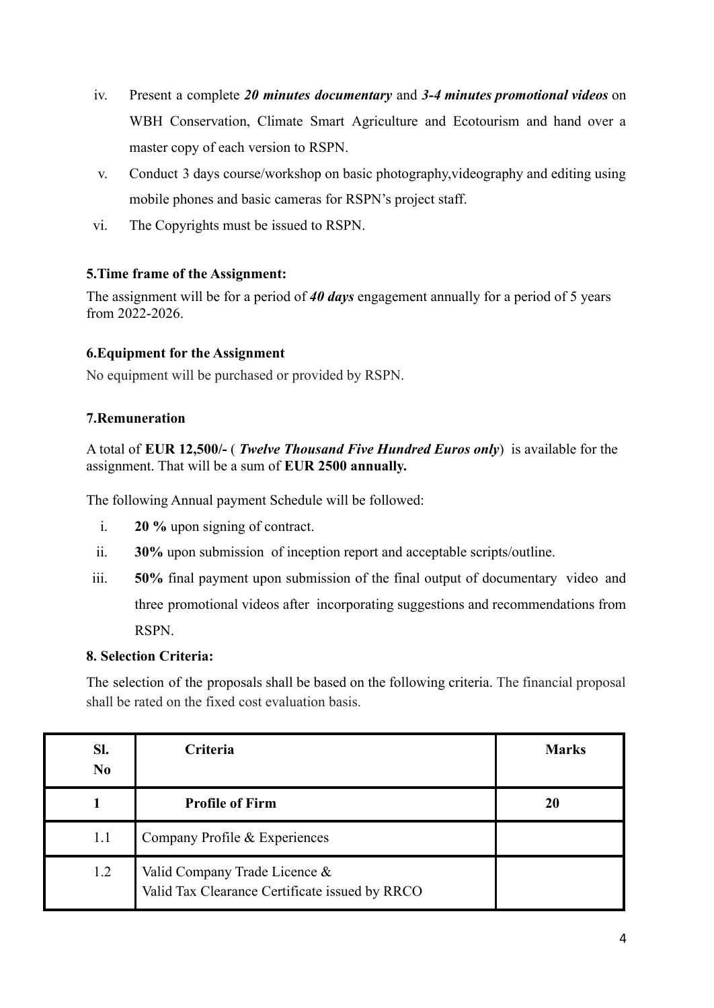- iv. Present a complete *20 minutes documentary* and *3-4 minutes promotional videos* on WBH Conservation, Climate Smart Agriculture and Ecotourism and hand over a master copy of each version to RSPN.
- v. Conduct 3 days course/workshop on basic photography,videography and editing using mobile phones and basic cameras for RSPN's project staff.
- vi. The Copyrights must be issued to RSPN.

## <span id="page-4-0"></span>**5.Time frame of the Assignment:**

The assignment will be for a period of *40 days* engagement annually for a period of 5 years from 2022-2026.

## **6.Equipment for the Assignment**

No equipment will be purchased or provided by RSPN.

## <span id="page-4-1"></span>**7.Remuneration**

A total of **EUR 12,500/-** ( *Twelve Thousand Five Hundred Euros only*) is available for the assignment. That will be a sum of **EUR 2500 annually.**

The following Annual payment Schedule will be followed:

- i. **20 %** upon signing of contract.
- ii. **30%** upon submission of inception report and acceptable scripts/outline.
- iii. **50%** final payment upon submission of the final output of documentary video and three promotional videos after incorporating suggestions and recommendations from RSPN.

#### **8. Selection Criteria:**

The selection of the proposals shall be based on the following criteria. The financial proposal shall be rated on the fixed cost evaluation basis.

| SI.<br>N <sub>0</sub> | Criteria                                                                        | <b>Marks</b> |
|-----------------------|---------------------------------------------------------------------------------|--------------|
|                       | <b>Profile of Firm</b>                                                          | 20           |
| 1.1                   | Company Profile & Experiences                                                   |              |
| 1.2                   | Valid Company Trade Licence &<br>Valid Tax Clearance Certificate issued by RRCO |              |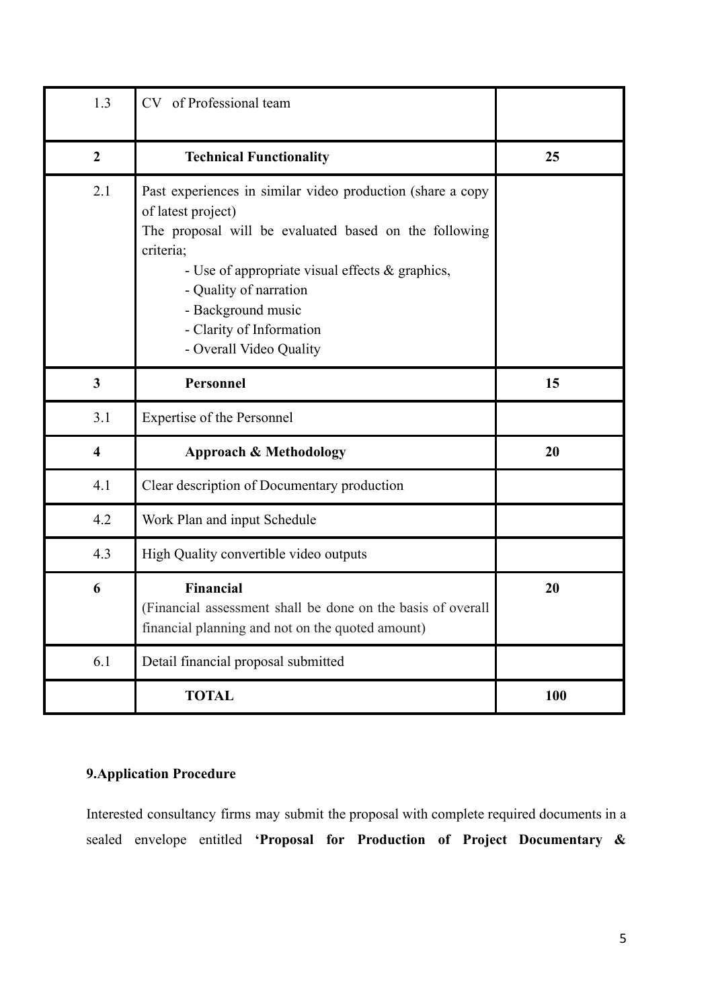| 1.3                     | CV of Professional team                                                                                                                                                                                                                                                                                          |     |
|-------------------------|------------------------------------------------------------------------------------------------------------------------------------------------------------------------------------------------------------------------------------------------------------------------------------------------------------------|-----|
| $\overline{2}$          | <b>Technical Functionality</b>                                                                                                                                                                                                                                                                                   | 25  |
| 2.1                     | Past experiences in similar video production (share a copy<br>of latest project)<br>The proposal will be evaluated based on the following<br>criteria;<br>- Use of appropriate visual effects & graphics,<br>- Quality of narration<br>- Background music<br>- Clarity of Information<br>- Overall Video Quality |     |
| $\mathbf{3}$            | Personnel                                                                                                                                                                                                                                                                                                        | 15  |
| 3.1                     | <b>Expertise of the Personnel</b>                                                                                                                                                                                                                                                                                |     |
| $\overline{\mathbf{4}}$ | <b>Approach &amp; Methodology</b>                                                                                                                                                                                                                                                                                | 20  |
| 4.1                     | Clear description of Documentary production                                                                                                                                                                                                                                                                      |     |
| 4.2                     | Work Plan and input Schedule                                                                                                                                                                                                                                                                                     |     |
| 4.3                     | High Quality convertible video outputs                                                                                                                                                                                                                                                                           |     |
| 6                       | Financial<br>(Financial assessment shall be done on the basis of overall<br>financial planning and not on the quoted amount)                                                                                                                                                                                     | 20  |
| 6.1                     | Detail financial proposal submitted                                                                                                                                                                                                                                                                              |     |
|                         | <b>TOTAL</b>                                                                                                                                                                                                                                                                                                     | 100 |

# <span id="page-5-0"></span>**9.Application Procedure**

Interested consultancy firms may submit the proposal with complete required documents in a sealed envelope entitled **'Proposal for Production of Project Documentary &**